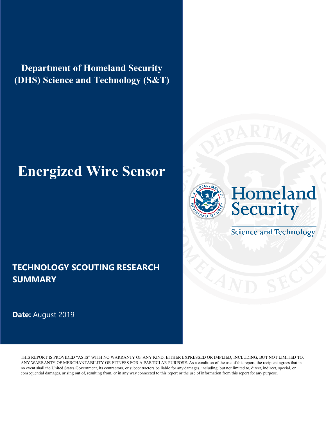**Department of Homeland Security (DHS) Science and Technology (S&T)** 

# **Energized Wire Sensor**

### **TECHNOLOGY SCOUTING RESEARCH SUMMARY**

**Date:** August 2019





**Science and Technology**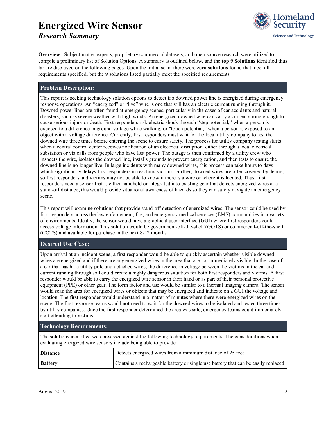### **Energized Wire Sensor** *Research Summary*



**Overview**: Subject matter experts, proprietary commercial datasets, and open-source research were utilized to compile a preliminary list of Solution Options. A summary is outlined below, and the **top 9 Solutions** identified thus far are displayed on the following pages. Upon the initial scan, there were **zero solutions** found that meet all requirements specified, but the 9 solutions listed partially meet the specified requirements.

#### **Problem Description:**

This report is seeking technology solution options to detect if a downed power line is energized during emergency response operations. An "energized" or "live" wire is one that still has an electric current running through it. Downed power lines are often found at emergency scenes, particularly in the cases of car accidents and natural disasters, such as severe weather with high winds. An energized downed wire can carry a current strong enough to cause serious injury or death. First responders risk electric shock through "step potential," when a person is exposed to a difference in ground voltage while walking, or "touch potential," when a person is exposed to an object with a voltage difference. Currently, first responders must wait for the local utility company to test the downed wire three times before entering the scene to ensure safety. The process for utility company testing starts when a central control center receives notification of an electrical disruption, either through a local electrical substation or via calls from people who have lost power. The outage is then confirmed by a utility crew who inspects the wire, isolates the downed line, installs grounds to prevent energization, and then tests to ensure the downed line is no longer live. In large incidents with many downed wires, this process can take hours to days which significantly delays first responders in reaching victims. Further, downed wires are often covered by debris, so first responders and victims may not be able to know if there is a wire or where it is located. Thus, first responders need a sensor that is either handheld or integrated into existing gear that detects energized wires at a stand-off distance; this would provide situational awareness of hazards so they can safely navigate an emergency scene.

This report will examine solutions that provide stand-off detection of energized wires. The sensor could be used by first responders across the law enforcement, fire, and emergency medical services (EMS) communities in a variety of environments. Ideally, the sensor would have a graphical user interface (GUI) where first responders could access voltage information. This solution would be government-off-the-shelf (GOTS) or commercial-off-the-shelf (COTS) and available for purchase in the next 8-12 months.

#### **Desired Use Case:**

Upon arrival at an incident scene, a first responder would be able to quickly ascertain whether visible downed wires are energized and if there are any energized wires in the area that are not immediately visible. In the case of a car that has hit a utility pole and detached wires, the difference in voltage between the victims in the car and current running through soil could create a highly dangerous situation for both first responders and victims. A first responder would be able to carry the energized wire sensor in their hand or as part of their personal protective equipment (PPE) or other gear. The form factor and use would be similar to a thermal imaging camera. The sensor would scan the area for energized wires or objects that may be energized and indicate on a GUI the voltage and location. The first responder would understand in a matter of minutes where there were energized wires on the scene. The first response teams would not need to wait for the downed wires to be isolated and tested three times by utility companies. Once the first responder determined the area was safe, emergency teams could immediately start attending to victims.

#### **Technology Requirements:**

The solutions identified were assessed against the following technology requirements. The considerations when evaluating energized wire sensors include being able to provide:

| <b>Distance</b> | Detects energized wires from a minimum distance of 25 feet                        |
|-----------------|-----------------------------------------------------------------------------------|
| <b>Battery</b>  | Contains a rechargeable battery or single use battery that can be easily replaced |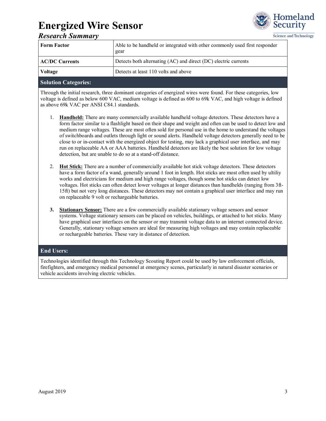

#### Science and Technology

|  | <b>Research Summary</b> |
|--|-------------------------|
|--|-------------------------|

| <b>Form Factor</b>    | Able to be handheld or integrated with other commonly used first responder<br>gear |  |  |  |
|-----------------------|------------------------------------------------------------------------------------|--|--|--|
| <b>AC/DC Currents</b> | Detects both alternating (AC) and direct (DC) electric currents                    |  |  |  |
| Voltage               | Detects at least 110 volts and above                                               |  |  |  |

#### **Solution Categories:**

Through the initial research, three dominant categories of energized wires were found. For these categories, low voltage is defined as below 600 VAC, medium voltage is defined as 600 to 69k VAC, and high voltage is defined as above 69k VAC per ANSI C84.1 standards.

- 1. **Handheld:** There are many commercially available handheld voltage detectors. These detectors have a form factor similar to a flashlight based on their shape and weight and often can be used to detect low and medium range voltages. These are most often sold for personal use in the home to understand the voltages of switchboards and outlets through light or sound alerts. Handheld voltage detectors generally need to be close to or in-contact with the energized object for testing, may lack a graphical user interface, and may run on replaceable AA or AAA batteries. Handheld detectors are likely the best solution for low voltage detection, but are unable to do so at a stand-off distance.
- 2. **Hot Stick:** There are a number of commercially available hot stick voltage detectors. These detectors have a form factor of a wand, generally around 1 foot in length. Hot sticks are most often used by ultiliy works and electricians for medium and high range voltages, though some hot sticks can detect low voltages. Hot sticks can often detect lower voltages at longer distances than handhelds (ranging from 3ft-15ft) but not very long distances. These detectors may not contain a graphical user interface and may run on replaceable 9 volt or rechargeable batteries.
- **3. Stationary Sensor:** There are a few commercially available stationary voltage sensors and sensor systems. Voltage stationary sensors can be placed on vehicles, buildings, or attached to hot sticks. Many have graphical user interfaces on the sensor or may transmit voltage data to an internet connected device. Generally, stationary voltage sensors are ideal for measuring high voltages and may contain replaceable or rechargeable batteries. These vary in distance of detection.

#### **End Users:**

Technologies identified through this Technology Scouting Report could be used by law enforcement officials, firefighters, and emergency medical personnel at emergency scenes, particularly in natural disaster scenarios or vehicle accidents involving electric vehicles.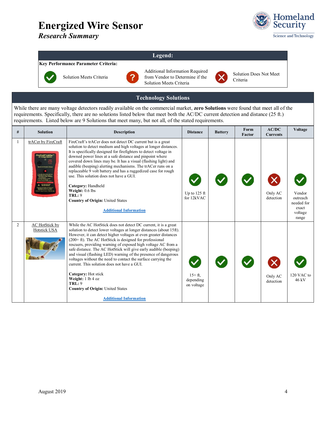*Research Summary*



#### **Legend:**

#### **Key Performance Parameter Criteria:**



Solution Meets Criteria



Additional Information Required from Vendor to Determine if the Solution Meets Criteria



Solution Does Not Meet Criteria

#### **Technology Solutions**

While there are many voltage detectors readily available on the commercial market, **zero Solutions** were found that meet all of the requirements. Specifically, there are no solutions listed below that meet both the AC/DC current detection and distance (25 ft.) requirements. Listed below are 9 Solutions that meet many, but not all, of the stated requirements.

| # | <b>Solution</b>                | <b>Description</b>                                                                                                                                                                                                                                                                                                                                                                                                                                                                                                                                                                                                                                                                                                                 | <b>Distance</b>                     | <b>Battery</b> | Form<br>Factor | AC/DC<br><b>Currents</b> | <b>Voltage</b>                                                |
|---|--------------------------------|------------------------------------------------------------------------------------------------------------------------------------------------------------------------------------------------------------------------------------------------------------------------------------------------------------------------------------------------------------------------------------------------------------------------------------------------------------------------------------------------------------------------------------------------------------------------------------------------------------------------------------------------------------------------------------------------------------------------------------|-------------------------------------|----------------|----------------|--------------------------|---------------------------------------------------------------|
| 1 | trACer by FireCraft            | FireCraft's trACer does not detect DC current but is a great<br>solution to detect medium and high voltages at longer distances.<br>It is specifically designed for firefighters to detect voltage in<br>downed power lines at a safe distance and pinpoint where<br>covered down lines may be. It has a visual (flashing light) and<br>audible (beeping) alerting mechanisms. The trACer runs on a<br>replaceable 9 volt battery and has a ruggedized case for rough<br>use. This solution does not have a GUL.<br>Category: Handheld<br>Weight: 0.6 lbs<br>TRL: 9<br><b>Country of Origin: United States</b><br><b>Additional Information</b>                                                                                    | Up to $125$ ft<br>for 12kVAC        |                |                | Only AC<br>detection     | Vendor<br>outreach<br>needed for<br>exact<br>voltage<br>range |
| 2 | AC HotStick by<br>Hotstick USA | While the AC HotStick does not detect DC current, it is a great<br>solution to detect lower voltages at longer distances (about 15ft).<br>However, it can detect higher voltages at even greater distances<br>$(200 + ft)$ . The AC HotStick is designed for professional<br>rescuers, providing warning of exposed high voltage AC from a<br>safe distance. The AC HotStick will give early audible (beeping)<br>and visual (flashing LED) warning of the presence of dangerous<br>voltages without the need to contact the surface carrying the<br>current. This solution does not have a GUI.<br>Category: Hot stick<br>Weight: 1 lb 4 oz<br>TRL: 9<br><b>Country of Origin: United States</b><br><b>Additional Information</b> | $15+ft.$<br>depending<br>on voltage |                |                | Only AC<br>detection     | 120 VAC to<br>46 kV                                           |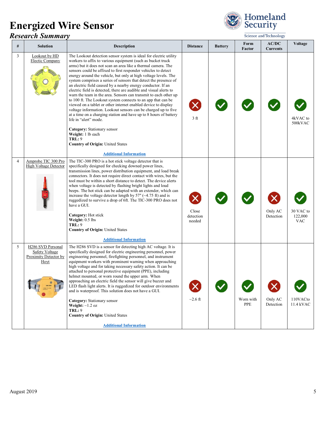### *Research Summary*



|                | <i><b>Research Summary</b></i>                                              | Science and Technology                                                                                                                                                                                                                                                                                                                                                                                                                                                                                                                                                                                                                                                                                                                                                                                                                                                                                                                                                                                                                                                  |                                     |                |                  |                          |                                    |
|----------------|-----------------------------------------------------------------------------|-------------------------------------------------------------------------------------------------------------------------------------------------------------------------------------------------------------------------------------------------------------------------------------------------------------------------------------------------------------------------------------------------------------------------------------------------------------------------------------------------------------------------------------------------------------------------------------------------------------------------------------------------------------------------------------------------------------------------------------------------------------------------------------------------------------------------------------------------------------------------------------------------------------------------------------------------------------------------------------------------------------------------------------------------------------------------|-------------------------------------|----------------|------------------|--------------------------|------------------------------------|
| #              | <b>Solution</b>                                                             | <b>Description</b>                                                                                                                                                                                                                                                                                                                                                                                                                                                                                                                                                                                                                                                                                                                                                                                                                                                                                                                                                                                                                                                      | <b>Distance</b>                     | <b>Battery</b> | Form<br>Factor   | AC/DC<br><b>Currents</b> | Voltage                            |
| $\mathfrak{Z}$ | Lookout by HD<br><b>Electic Company</b>                                     | The Lookout detection sensor system is ideal for electric utility<br>workers to affix to various equipment (such as bucket truck<br>arms) but it does not scan an area like a thermal camera. The<br>sensors could be affixed to first responder vehicles to detect<br>energy around the vehicle, but only at high voltage levels. The<br>system comprises a series of sensors that detect the presence of<br>an electric field caused by a nearby energy conductor. If an<br>electric field is detected, there are audible and visual alerts to<br>warn the team in the area. Sensors can transmit to each other up<br>to 100 ft. The Lookout system connects to an app that can be<br>viewed on a tablet or other internet enabled device to display<br>voltage information. Lookout sensors can be charged up to five<br>at a time on a charging station and have up to 8 hours of battery<br>life in "alert" mode.<br>Category: Stationary sensor<br>Weight: 1 lb each<br><b>TRL: 9</b><br><b>Country of Origin: United States</b><br><b>Additional Information</b> | $\bm{\mathsf{x}}$<br>3 <sub>f</sub> |                |                  |                          | 4kVAC to<br>500kVAC                |
| $\overline{4}$ | Amprobe TIC 300 Pro<br><b>High Voltage Detector</b>                         | The TIC-300 PRO is a hot stick voltage detector that is<br>specifically designed for checking downed power lines,<br>transmission lines, power distribution equipment, and load break<br>connectors. It does not require direct contact with wires, but the<br>tool must be within a short distance to detect. The device alerts<br>when voltage is detected by flashing bright lights and loud<br>beeps. The hot stick can be adapted with an extender, which can<br>increase the voltage detector length by 57" ( $\sim$ 4.75 ft) and is<br>ruggedized to survive a drop of 6ft. The TIC-300 PRO does not<br>have a GUI.<br>Category: Hot stick<br>Weight: 0.5 lbs<br><b>TRL: 9</b><br><b>Country of Origin: United States</b><br><b>Additional Information</b>                                                                                                                                                                                                                                                                                                       | X<br>Close<br>detection<br>needed   |                |                  | Only AC<br>Detection     | 30 VAC to<br>122,000<br><b>VAC</b> |
| 5              | H286 SVD Personal<br><b>Safety Voltage</b><br>Proximity Detector by<br>Hoyt | The H286 SVD is a sensor for detecting high AC voltage. It is<br>specifically designed for electric engineering personnel, power<br>engineering personnel, firefighting personnel, and instrument<br>equipment workers with prominent warning when approaching<br>high voltage and for taking necessary safety action. It can be<br>attached to personal protective equipment (PPE), including<br>helmet mounted, or worn round the upper arm. When<br>approaching an electric field the sensor will give buzzer and<br>LED flash light alerts. It is ruggedized for outdoor environments<br>and is waterproof. This solution does not have a GUI.<br>Category: Stationary sensor<br><b>Weight:</b> $\sim$ 1.2 oz<br><b>TRL: 9</b><br><b>Country of Origin: United States</b><br><b>Additional Information</b>                                                                                                                                                                                                                                                          | $\sim$ 2.6 ft                       |                | Worn with<br>PPE | Only AC<br>Detection     | 110VACto<br>11.4 kVAC              |